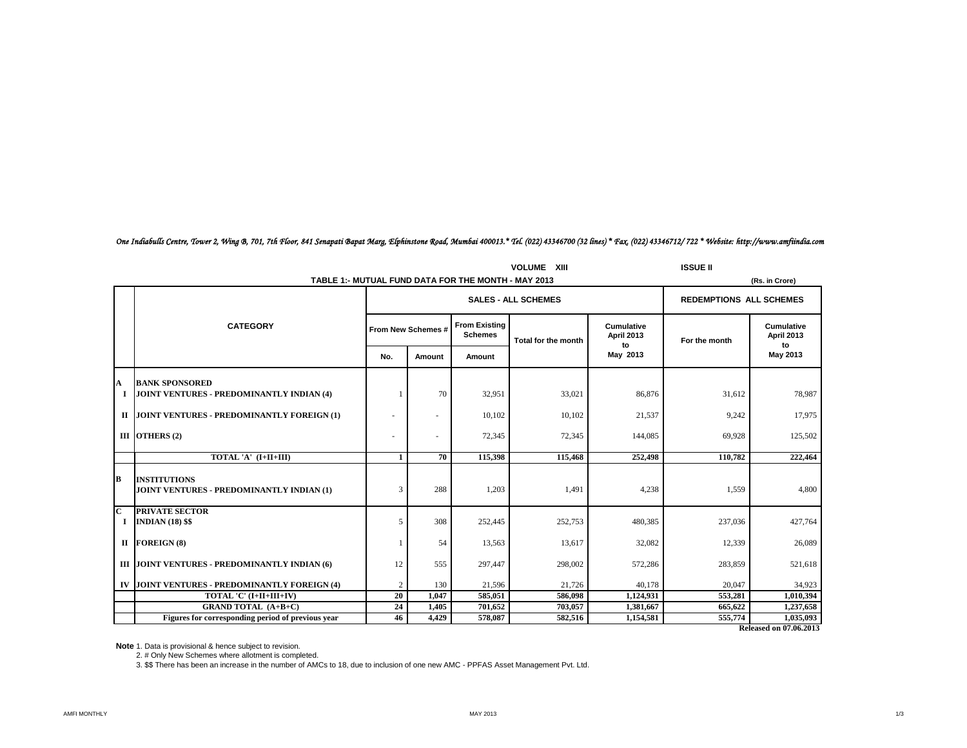*One Indiabulls Centre, Tower 2, Wing B, 701, 7th Floor, 841 Senapati Bapat Marg, Elphinstone Road, Mumbai 400013.\* Tel. (022) 43346700 (32 lines) \* Fax. (022) 43346712/ 722 \* Website: http://www.amfiindia.com*

|                              |                                                                    | <b>ISSUE II</b>          |                          |                                                     |                                |                                       |               |                                       |
|------------------------------|--------------------------------------------------------------------|--------------------------|--------------------------|-----------------------------------------------------|--------------------------------|---------------------------------------|---------------|---------------------------------------|
|                              |                                                                    |                          |                          | TABLE 1:- MUTUAL FUND DATA FOR THE MONTH - MAY 2013 |                                |                                       |               | (Rs. in Crore)                        |
|                              |                                                                    |                          |                          | <b>SALES - ALL SCHEMES</b>                          | <b>REDEMPTIONS ALL SCHEMES</b> |                                       |               |                                       |
|                              | <b>CATEGORY</b>                                                    |                          | From New Schemes #       | <b>From Existing</b><br><b>Schemes</b>              | Total for the month            | <b>Cumulative</b><br>April 2013<br>to | For the month | Cumulative<br><b>April 2013</b><br>to |
|                              |                                                                    | No.                      | Amount                   | Amount                                              |                                | May 2013                              |               | May 2013                              |
| A<br>1                       | <b>BANK SPONSORED</b><br>JOINT VENTURES - PREDOMINANTLY INDIAN (4) |                          | 70                       | 32,951                                              | 33,021                         | 86,876                                | 31,612        | 78,987                                |
| $\mathbf{H}$                 | JOINT VENTURES - PREDOMINANTLY FOREIGN (1)                         |                          | $\sim$                   | 10,102                                              | 10,102                         | 21,537                                | 9,242         | 17,975                                |
|                              | III OTHERS (2)                                                     | $\overline{\phantom{a}}$ | $\overline{\phantom{a}}$ | 72,345                                              | 72,345                         | 144,085                               | 69,928        | 125,502                               |
|                              | TOTAL 'A' (I+II+III)                                               | -1                       | 70                       | 115,398                                             | 115,468                        | 252,498                               | 110,782       | 222,464                               |
| B                            | <b>INSTITUTIONS</b><br>JOINT VENTURES - PREDOMINANTLY INDIAN (1)   | 3                        | 288                      | 1,203                                               | 1,491                          | 4,238                                 | 1,559         | 4,800                                 |
| $\overline{\mathbf{c}}$<br>1 | <b>PRIVATE SECTOR</b><br><b>INDIAN (18) \$\$</b>                   | 5                        | 308                      | 252,445                                             | 252,753                        | 480,385                               | 237,036       | 427,764                               |
|                              | II FOREIGN (8)                                                     | 1                        | 54                       | 13,563                                              | 13,617                         | 32,082                                | 12,339        | 26,089                                |
|                              | III JOINT VENTURES - PREDOMINANTLY INDIAN (6)                      | 12                       | 555                      | 297,447                                             | 298,002                        | 572,286                               | 283,859       | 521,618                               |
|                              | IV JOINT VENTURES - PREDOMINANTLY FOREIGN (4)                      | 2                        | 130                      | 21.596                                              | 21.726                         | 40.178                                | 20,047        | 34.923                                |
|                              | TOTAL 'C' (I+II+III+IV)                                            |                          | 1,047                    | 585,051                                             | 586,098                        | 1,124,931                             | 553,281       | 1,010,394                             |
|                              | <b>GRAND TOTAL (A+B+C)</b>                                         | 24                       | 1,405                    | 701,652                                             | 703,057                        | 1,381,667                             | 665,622       | 1,237,658                             |
|                              | Figures for corresponding period of previous year                  | 46                       | 4,429                    | 578,087                                             | 582,516                        | 1,154,581                             | 555,774       | 1,035,093                             |
|                              |                                                                    |                          |                          |                                                     |                                |                                       |               | <b>Released on 07.06.2013</b>         |

**Note** 1. Data is provisional & hence subject to revision.

2. # Only New Schemes where allotment is completed.

3. \$\$ There has been an increase in the number of AMCs to 18, due to inclusion of one new AMC - PPFAS Asset Management Pvt. Ltd.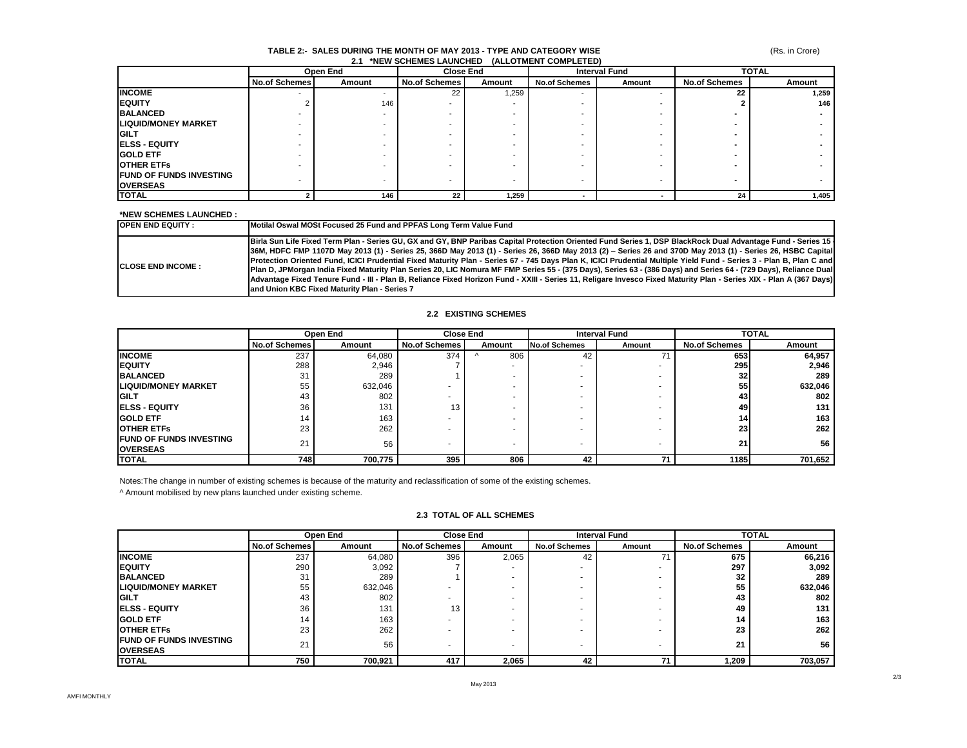#### **TABLE 2:- SALES DURING THE MONTH OF MAY 2013 - TYPE AND CATEGORY WISE 2.1 \*NEW SCHEMES LAUNCHED (ALLOTMENT COMPLETED)**

|                                 | Open End             |                          | <b>Close End</b>         |                          | <b>Interval Fund</b>     |        | <b>TOTAL</b>         |        |
|---------------------------------|----------------------|--------------------------|--------------------------|--------------------------|--------------------------|--------|----------------------|--------|
|                                 | <b>No.of Schemes</b> | Amount                   | <b>No.of Schemes</b>     | Amount                   | <b>No.of Schemes</b>     | Amount | <b>No.of Schemes</b> | Amount |
| <b>INCOME</b>                   |                      |                          | 22                       | 1,259                    | $\overline{\phantom{0}}$ |        | 22                   | 1,259  |
| <b>IEQUITY</b>                  |                      | 146                      |                          |                          |                          |        |                      | 146    |
| <b>BALANCED</b>                 |                      |                          |                          |                          |                          |        |                      |        |
| <b>LIQUID/MONEY MARKET</b>      |                      |                          |                          |                          |                          |        |                      |        |
| <b>IGILT</b>                    |                      |                          |                          |                          |                          |        |                      |        |
| <b>IELSS - EQUITY</b>           |                      |                          |                          |                          |                          |        |                      |        |
| <b>GOLD ETF</b>                 |                      |                          |                          |                          |                          |        |                      |        |
| <b>OTHER ETFS</b>               |                      |                          |                          |                          |                          |        |                      |        |
| <b>IFUND OF FUNDS INVESTING</b> |                      |                          |                          | $\overline{\phantom{a}}$ |                          |        | -                    |        |
| <b>OVERSEAS</b>                 |                      | $\overline{\phantom{0}}$ | $\overline{\phantom{a}}$ |                          | $\overline{\phantom{a}}$ |        |                      |        |
| <b>TOTAL</b>                    |                      | 146                      | 22                       | 1,259                    |                          |        | 24                   | 1,405  |

#### **\*NEW SCHEMES LAUNCHED :**

| <b>IOPEN END EQUITY:</b>   | Motilal Oswal MOSt Focused 25 Fund and PPFAS Long Term Value Fund                                                                                                                                                                                                                                                                                                                                                                                                                                                                                                                                                                                                                                                                                                                                                                                                                          |
|----------------------------|--------------------------------------------------------------------------------------------------------------------------------------------------------------------------------------------------------------------------------------------------------------------------------------------------------------------------------------------------------------------------------------------------------------------------------------------------------------------------------------------------------------------------------------------------------------------------------------------------------------------------------------------------------------------------------------------------------------------------------------------------------------------------------------------------------------------------------------------------------------------------------------------|
| <b>ICLOSE END INCOME :</b> | Birla Sun Life Fixed Term Plan - Series GU, GX and GY, BNP Paribas Capital Protection Oriented Fund Series 1, DSP BlackRock Dual Advantage Fund - Series 15<br>[36M, HDFC FMP 1107D May 2013 (1) - Series 25, 366D May 2013 (1) - Series 26, 366D May 2013 (2) - Series 26 and 370D May 2013 (1) - Series 26, HSBC Capital<br>Protection Oriented Fund, ICICI Prudential Fixed Maturity Plan - Series 67 - 745 Days Plan K, ICICI Prudential Multiple Yield Fund - Series 3 - Plan B, Plan C and<br>Plan D, JPMorgan India Fixed Maturity Plan Series 20, LIC Nomura MF FMP Series 55 - (375 Days), Series 63 - (386 Days) and Series 64 - (729 Days), Reliance Dual<br>Advantage Fixed Tenure Fund - III - Plan B, Reliance Fixed Horizon Fund - XXIII - Series 11, Religare Invesco Fixed Maturity Plan - Series XIX - Plan A (367 Days)<br>and Union KBC Fixed Maturity Plan - Series 7 |

## **2.2 EXISTING SCHEMES**

|                                                    | Open End             |         |                      | <b>Close End</b> |                      | <b>Interval Fund</b> |                      | <b>TOTAL</b> |  |
|----------------------------------------------------|----------------------|---------|----------------------|------------------|----------------------|----------------------|----------------------|--------------|--|
|                                                    | <b>No.of Schemes</b> | Amount  | <b>No.of Schemes</b> | Amount           | <b>No.of Schemes</b> | Amount               | <b>No.of Schemes</b> | Amount       |  |
| <b>INCOME</b>                                      | 237                  | 64.080  | 374                  | 806              | 42                   |                      | 653                  | 64,957       |  |
| <b>IEQUITY</b>                                     | 288                  | 2,946   |                      |                  |                      |                      | 295                  | 2,946        |  |
| <b>BALANCED</b>                                    | 31                   | 289     |                      |                  |                      |                      | 32 <sub>l</sub>      | 289          |  |
| <b>ILIQUID/MONEY MARKET</b>                        | 55                   | 632,046 |                      | ۰                |                      |                      | 55                   | 632,046      |  |
| <b>IGILT</b>                                       | 43                   | 802     |                      | -                |                      |                      | 43                   | 802          |  |
| <b>IELSS - EQUITY</b>                              | 36                   | 131     | 13                   | -                | ۰                    |                      | 49                   | 131          |  |
| <b>GOLD ETF</b>                                    | 14                   | 163     |                      | ۰                | ۰                    |                      | 141                  | 163          |  |
| <b>OTHER ETFS</b>                                  | 23                   | 262     |                      | ۰                | ۰                    |                      | 23 <sub>1</sub>      | 262          |  |
| <b>IFUND OF FUNDS INVESTING</b><br><b>OVERSEAS</b> | 21                   | 56      |                      | ۰                |                      |                      | 21                   | 56           |  |
| <b>TOTAL</b>                                       | 748I                 | 700,775 | 395                  | 806              | 42                   | 71                   | 1185                 | 701,652      |  |

Notes:The change in number of existing schemes is because of the maturity and reclassification of some of the existing schemes.

^ Amount mobilised by new plans launched under existing scheme.

## **2.3 TOTAL OF ALL SCHEMES**

|                                                   | Open End             |         | <b>Close End</b>     |        | <b>Interval Fund</b> |        | <b>TOTAL</b>         |         |
|---------------------------------------------------|----------------------|---------|----------------------|--------|----------------------|--------|----------------------|---------|
|                                                   | <b>No.of Schemes</b> | Amount  | <b>No.of Schemes</b> | Amount | <b>No.of Schemes</b> | Amount | <b>No.of Schemes</b> | Amount  |
| <b>INCOME</b>                                     | 237                  | 64,080  | 396                  | 2,065  | 42                   |        | 675                  | 66,216  |
| <b>IEQUITY</b>                                    | 290                  | 3,092   |                      |        | ۰                    |        | 297                  | 3,092   |
| <b>BALANCED</b>                                   | 31                   | 289     |                      |        |                      |        | 32                   | 289     |
| <b>LIQUID/MONEY MARKET</b>                        | 55                   | 632,046 |                      |        | ۰                    |        | 55                   | 632,046 |
| <b>GILT</b>                                       | 43                   | 802     |                      |        | ۰                    |        | 43                   | 802     |
| <b>IELSS - EQUITY</b>                             | 36                   | 131     | 13                   |        | ۰                    |        | 49                   | 131     |
| <b>GOLD ETF</b>                                   | 14                   | 163     |                      |        |                      |        | 14                   | 163     |
| <b>OTHER ETFS</b>                                 | 23                   | 262     |                      |        |                      |        | 23                   | 262     |
| <b>FUND OF FUNDS INVESTING</b><br><b>OVERSEAS</b> | 21                   | 56      |                      |        |                      |        | 21                   | 56      |
| <b>TOTAL</b>                                      | 750                  | 700,921 | 417                  | 2,065  | 42                   | 71     | 209، ا               | 703,057 |